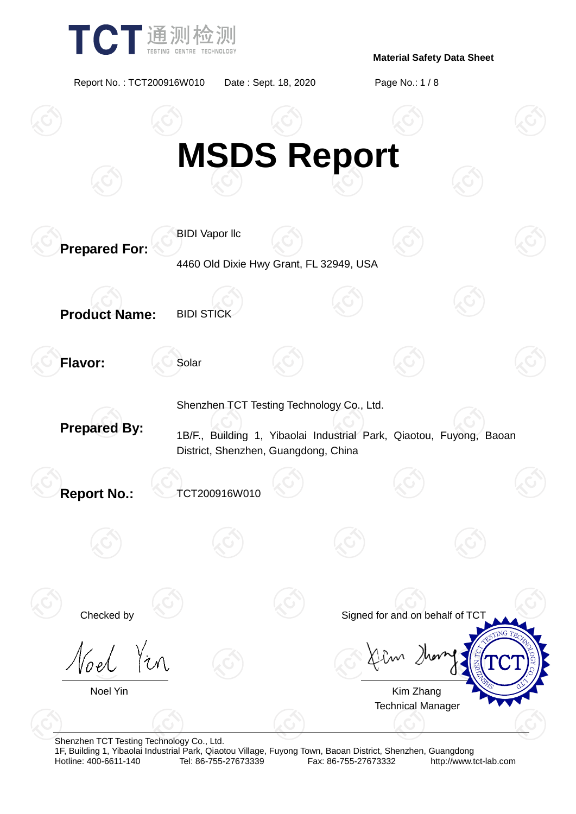

Report No. : TCT200916W010 Date : Sept. 18, 2020 Page No.: 1 / 8



Shenzhen TCT Testing Technology Co., Ltd.

1F, Building 1, Yibaolai Industrial Park, Qiaotou Village, Fuyong Town, Baoan District, Shenzhen, Guangdong Fax: 86-755-27673332 http://www.tct-lab.com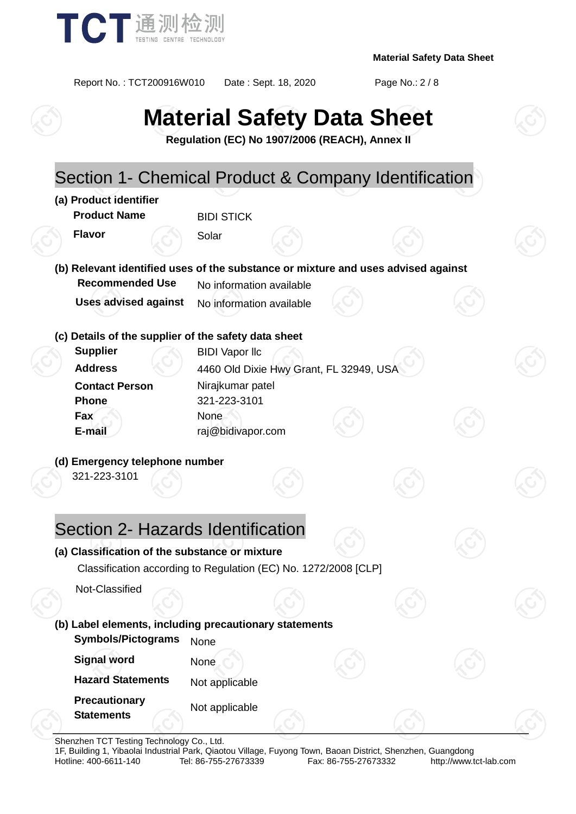

Report No. : TCT200916W010 Date : Sept. 18, 2020 Page No.: 2 / 8

# **Material Safety Data Sheet**

**Regulation (EC) No 1907/2006 (REACH), Annex II**



Shenzhen TCT Testing Technology Co., Ltd.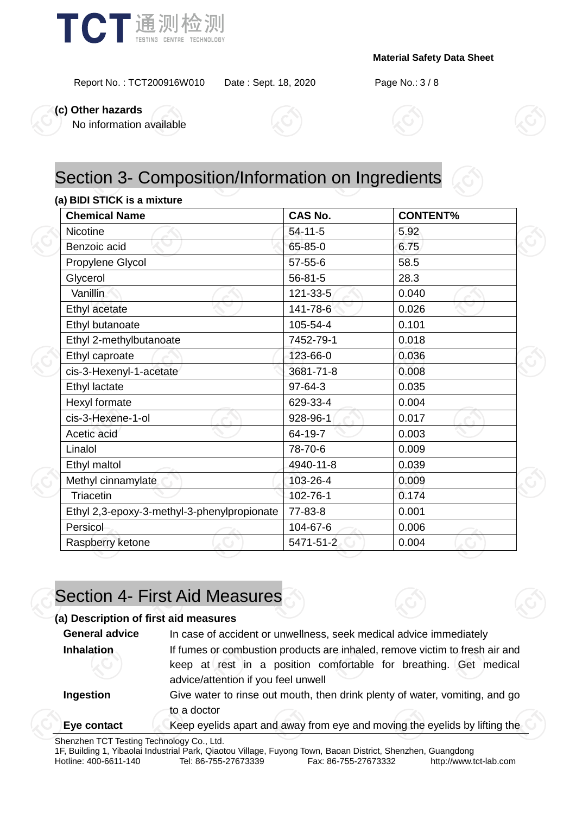

Report No. : TCT200916W010 Date : Sept. 18, 2020 Page No.: 3 / 8

**(c) Other hazards**

No information available



# Section 3- Composition/Information on Ingredients

#### **(a) BIDI STICK is a mixture**

| <b>Chemical Name</b>                        | <b>CAS No.</b> | <b>CONTENT%</b> |  |
|---------------------------------------------|----------------|-----------------|--|
| <b>Nicotine</b>                             | $54 - 11 - 5$  | 5.92            |  |
| Benzoic acid                                | 65-85-0        | 6.75            |  |
| Propylene Glycol                            | $57 - 55 - 6$  | 58.5            |  |
| Glycerol                                    | $56 - 81 - 5$  | 28.3            |  |
| Vanillin                                    | $121 - 33 - 5$ | 0.040           |  |
| Ethyl acetate                               | 141-78-6       | 0.026           |  |
| Ethyl butanoate                             | 105-54-4       | 0.101           |  |
| Ethyl 2-methylbutanoate                     | 7452-79-1      | 0.018           |  |
| Ethyl caproate                              | 123-66-0       | 0.036           |  |
| cis-3-Hexenyl-1-acetate                     | 3681-71-8      | 0.008           |  |
| Ethyl lactate                               | $97-64-3$      | 0.035           |  |
| Hexyl formate                               | 629-33-4       | 0.004           |  |
| cis-3-Hexene-1-ol                           | 928-96-1       | 0.017           |  |
| Acetic acid                                 | 64-19-7        | 0.003           |  |
| Linalol                                     | 78-70-6        | 0.009           |  |
| Ethyl maltol                                | 4940-11-8      | 0.039           |  |
| Methyl cinnamylate                          | 103-26-4       | 0.009           |  |
| Triacetin                                   | 102-76-1       | 0.174           |  |
| Ethyl 2,3-epoxy-3-methyl-3-phenylpropionate | 77-83-8        | 0.001           |  |
| Persicol                                    | 104-67-6       | 0.006           |  |
| Raspberry ketone                            | 5471-51-2      | 0.004           |  |

# Section 4- First Aid Measures

#### **(a) Description of first aid measures**

| <b>General advice</b> | In case of accident or unwellness, seek medical advice immediately                                       |  |  |
|-----------------------|----------------------------------------------------------------------------------------------------------|--|--|
| Inhalation            | If fumes or combustion products are inhaled, remove victim to fresh air and                              |  |  |
|                       | keep at rest in a position comfortable for breathing. Get medical<br>advice/attention if you feel unwell |  |  |
| Ingestion             | Give water to rinse out mouth, then drink plenty of water, vomiting, and go                              |  |  |
|                       | to a doctor                                                                                              |  |  |
| Eye contact           | Keep eyelids apart and away from eye and moving the eyelids by lifting the                               |  |  |
|                       |                                                                                                          |  |  |



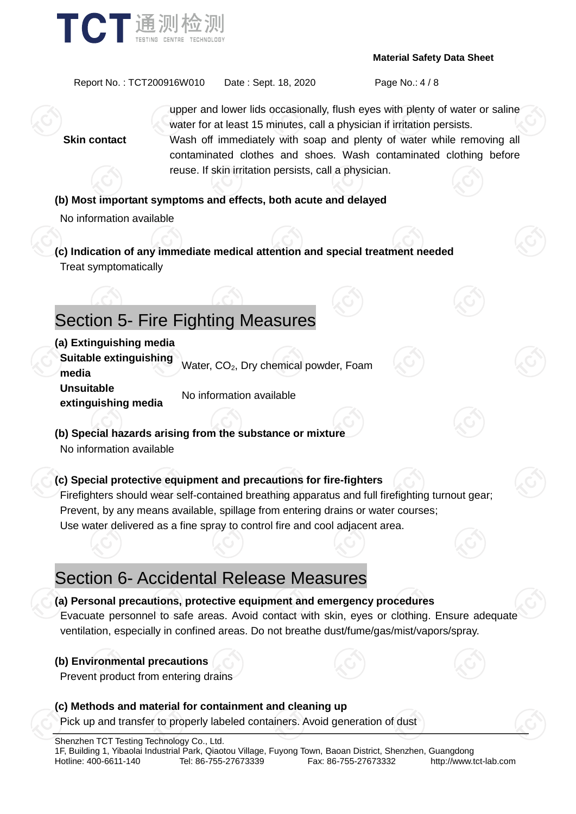

Report No. : TCT200916W010 Date : Sept. 18, 2020 Page No.: 4 / 8

upper and lower lids occasionally, flush eyes with plenty of water or saline water for at least 15 minutes, call a physician if irritation persists. **Skin contact** Wash off immediately with soap and plenty of water while removing all contaminated clothes and shoes. Wash contaminated clothing before reuse. If skin irritation persists, call a physician.

#### **(b) Most important symptoms and effects, both acute and delayed**

No information available

**(c) Indication of any immediate medical attention and special treatment needed** Treat symptomatically

# Section 5- Fire Fighting Measures

#### **(a) Extinguishing media**

**Suitable extinguishing bundale examgers image.** Water, CO<sub>2</sub>, Dry chemical powder, Foam **Unsuitable extinguishing media** No information available

**(b) Special hazards arising from the substance or mixture** No information available

#### **(c) Special protective equipment and precautions for fire-fighters**

Firefighters should wear self-contained breathing apparatus and full firefighting turnout gear; Prevent, by any means available, spillage from entering drains or water courses; Use water delivered as a fine spray to control fire and cool adjacent area.

# Section 6- Accidental Release Measures

#### **(a) Personal precautions, protective equipment and emergency procedures**

Evacuate personnel to safe areas. Avoid contact with skin, eyes or clothing. Ensure adequate ventilation, especially in confined areas. Do not breathe dust/fume/gas/mist/vapors/spray.

#### **(b) Environmental precautions**

Prevent product from entering drains

#### **(c) Methods and material for containment and cleaning up** Pick up and transfer to properly labeled containers. Avoid generation of dust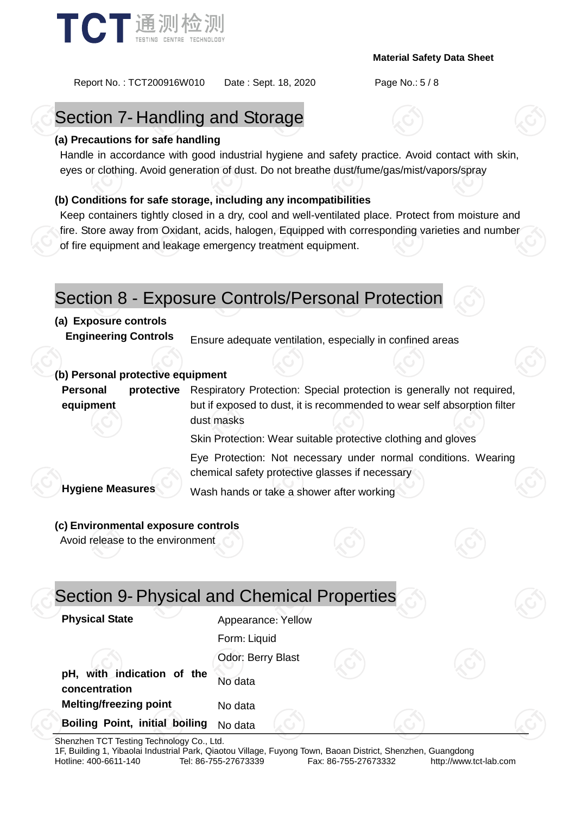

Report No. : TCT200916W010 Date : Sept. 18, 2020 Page No.: 5 / 8

# Section 7- Handling and Storage

#### **(a) Precautions for safe handling**

Handle in accordance with good industrial hygiene and safety practice. Avoid contact with skin, eyes or clothing. Avoid generation of dust. Do not breathe dust/fume/gas/mist/vapors/spray

#### **(b) Conditions for safe storage, including any incompatibilities**

Keep containers tightly closed in a dry, cool and well-ventilated place. Protect from moisture and fire. Store away from Oxidant, acids, halogen, Equipped with corresponding varieties and number of fire equipment and leakage emergency treatment equipment.

### Section 8 - Exposure Controls/Personal Protection

#### **(a) Exposure controls**

**Engineering Controls** Ensure adequate ventilation, especially in confined areas

#### **(b) Personal protective equipment**

**Personal protective equipment** Respiratory Protection: Special protection is generally not required, but if exposed to dust, it is recommended to wear self absorption filter dust masks

Skin Protection: Wear suitable protective clothing and gloves

Eye Protection: Not necessary under normal conditions. Wearing chemical safety protective glasses if necessary

**Hygiene Measures** Wash hands or take a shower after working

#### **(c) Environmental exposure controls**

Avoid release to the environment

|                                             | Section 9- Physical and Chemical Properties |  |
|---------------------------------------------|---------------------------------------------|--|
| <b>Physical State</b>                       | Appearance: Yellow                          |  |
|                                             | Form: Liquid                                |  |
|                                             | Odor: Berry Blast                           |  |
| pH, with indication of the<br>concentration | No data                                     |  |
| <b>Melting/freezing point</b>               | No data                                     |  |
| <b>Boiling Point, initial boiling</b>       | No data                                     |  |

Shenzhen TCT Testing Technology Co., Ltd.

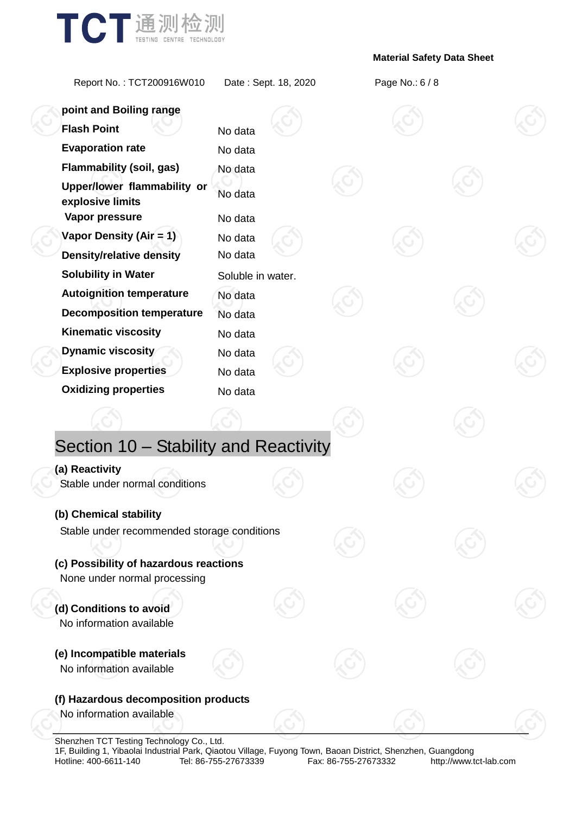

Report No. : TCT200916W010 Date : Sept. 18, 2020 Page No.: 6 / 8

| point and Boiling range                                           |                    |  |  |  |
|-------------------------------------------------------------------|--------------------|--|--|--|
| <b>Flash Point</b>                                                | No data            |  |  |  |
| <b>Evaporation rate</b>                                           | No data            |  |  |  |
| <b>Flammability (soil, gas)</b>                                   | No data            |  |  |  |
| Upper/lower flammability or<br>explosive limits<br>Vapor pressure | No data<br>No data |  |  |  |
| Vapor Density (Air = 1)                                           | No data            |  |  |  |
| <b>Density/relative density</b>                                   | No data            |  |  |  |
| <b>Solubility in Water</b>                                        | Soluble in water.  |  |  |  |
| <b>Autoignition temperature</b>                                   | No data            |  |  |  |
| <b>Decomposition temperature</b>                                  | No data            |  |  |  |
| <b>Kinematic viscosity</b>                                        | No data            |  |  |  |
| Dynamic viscosity                                                 | No data            |  |  |  |
| <b>Explosive properties</b>                                       | No data            |  |  |  |
| <b>Oxidizing properties</b>                                       | No data            |  |  |  |
|                                                                   |                    |  |  |  |
| Section 10 - Stability and Reactivity                             |                    |  |  |  |
| (a) Reactivity                                                    |                    |  |  |  |
| Stable under normal conditions                                    |                    |  |  |  |
| (b) Chemical stability                                            |                    |  |  |  |
| Stable under recommended storage conditions                       |                    |  |  |  |
| (c) Possibility of hazardous reactions                            |                    |  |  |  |
| None under normal processing                                      |                    |  |  |  |
|                                                                   |                    |  |  |  |
| (d) Conditions to avoid<br>No information available               |                    |  |  |  |
| (e) Incompatible materials<br>No information available            |                    |  |  |  |
|                                                                   |                    |  |  |  |
| (f) Hazardous decomposition products                              |                    |  |  |  |
| No information available                                          |                    |  |  |  |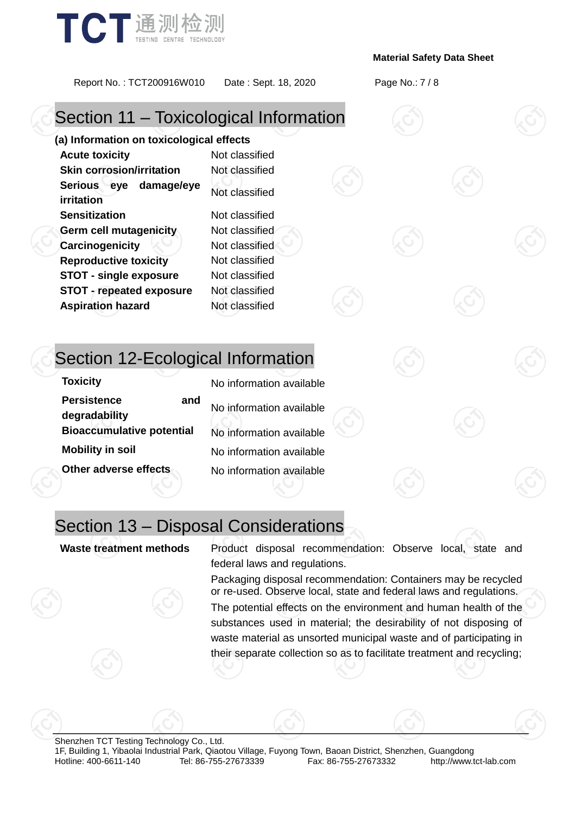

Report No. : TCT200916W010 Date : Sept. 18, 2020 Page No.: 7 / 8

# Section 11 – Toxicological Information

**(a) Information on toxicological effects Acute toxicity** Not classified **Skin corrosion/irritation** Not classified **Serious eye damage/eye irritation** Not classified **Sensitization** Not classified **Germ cell mutagenicity** Not classified **Carcinogenicity Not classified Reproductive toxicity** Not classified **STOT - single exposure** Not classified **STOT - repeated exposure** Not classified **Aspiration hazard** Not classified

# Section 12-Ecological Information

| TOXICITY                         |     |
|----------------------------------|-----|
| <b>Persistence</b>               | and |
| degradability                    |     |
| <b>Bioaccumulative potential</b> |     |
| <b>Mobility in soil</b>          |     |
| Other adverse effects            |     |

**No information available No information available No information available No information available No information available** 

# Section 13 – Disposal Considerations

**Waste treatment methods** Product disposal recommendation: Observe local, state and federal laws and regulations.

> Packaging disposal recommendation: Containers may be recycled or re-used. Observe local, state and federal laws and regulations.

> The potential effects on the environment and human health of the substances used in material; the desirability of not disposing of waste material as unsorted municipal waste and of participating in their separate collection so as to facilitate treatment and recycling;

Shenzhen TCT Testing Technology Co., Ltd. 1F, Building 1, Yibaolai Industrial Park, Qiaotou Village, Fuyong Town, Baoan District, Shenzhen, Guangdong http://www.tct-lab.com